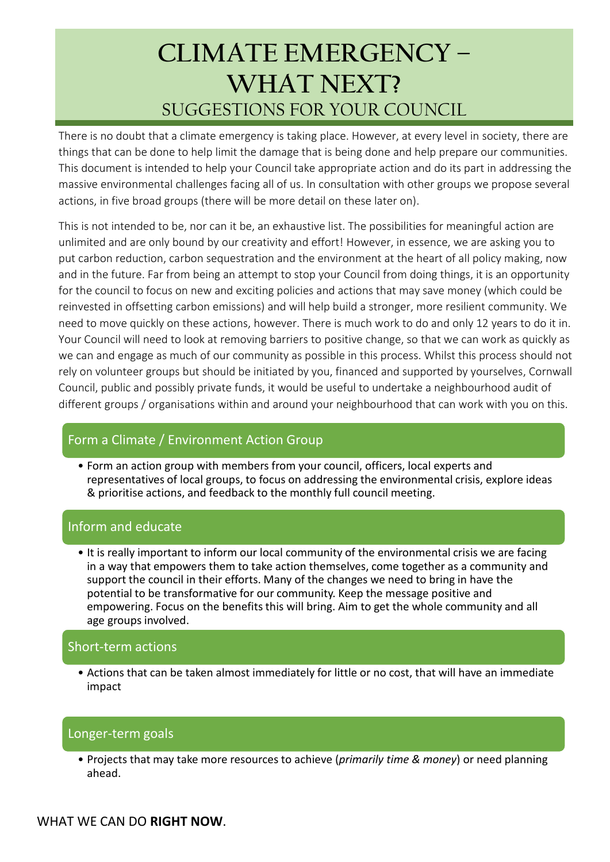# **CLIMATE EMERGENCY – WHAT NEXT?**  SUGGESTIONS FOR YOUR COUNCIL

There is no doubt that a climate emergency is taking place. However, at every level in society, there are things that can be done to help limit the damage that is being done and help prepare our communities. This document is intended to help your Council take appropriate action and do its part in addressing the massive environmental challenges facing all of us. In consultation with other groups we propose several actions, in five broad groups (there will be more detail on these later on).

This is not intended to be, nor can it be, an exhaustive list. The possibilities for meaningful action are unlimited and are only bound by our creativity and effort! However, in essence, we are asking you to put carbon reduction, carbon sequestration and the environment at the heart of all policy making, now and in the future. Far from being an attempt to stop your Council from doing things, it is an opportunity for the council to focus on new and exciting policies and actions that may save money (which could be reinvested in offsetting carbon emissions) and will help build a stronger, more resilient community. We need to move quickly on these actions, however. There is much work to do and only 12 years to do it in. Your Council will need to look at removing barriers to positive change, so that we can work as quickly as we can and engage as much of our community as possible in this process. Whilst this process should not rely on volunteer groups but should be initiated by you, financed and supported by yourselves, Cornwall Council, public and possibly private funds, it would be useful to undertake a neighbourhood audit of different groups / organisations within and around your neighbourhood that can work with you on this.

## Form a Climate / Environment Action Group

• Form an action group with members from your council, officers, local experts and representatives of local groups, to focus on addressing the environmental crisis, explore ideas & prioritise actions, and feedback to the monthly full council meeting.

## Inform and educate

• It is really important to inform our local community of the environmental crisis we are facing in a way that empowers them to take action themselves, come together as a community and support the council in their efforts. Many of the changes we need to bring in have the potential to be transformative for our community. Keep the message positive and empowering. Focus on the benefits this will bring. Aim to get the whole community and all age groups involved.

## Short-term actions

• Actions that can be taken almost immediately for little or no cost, that will have an immediate impact

## Longer-term goals

• Projects that may take more resources to achieve (*primarily time & money*) or need planning ahead.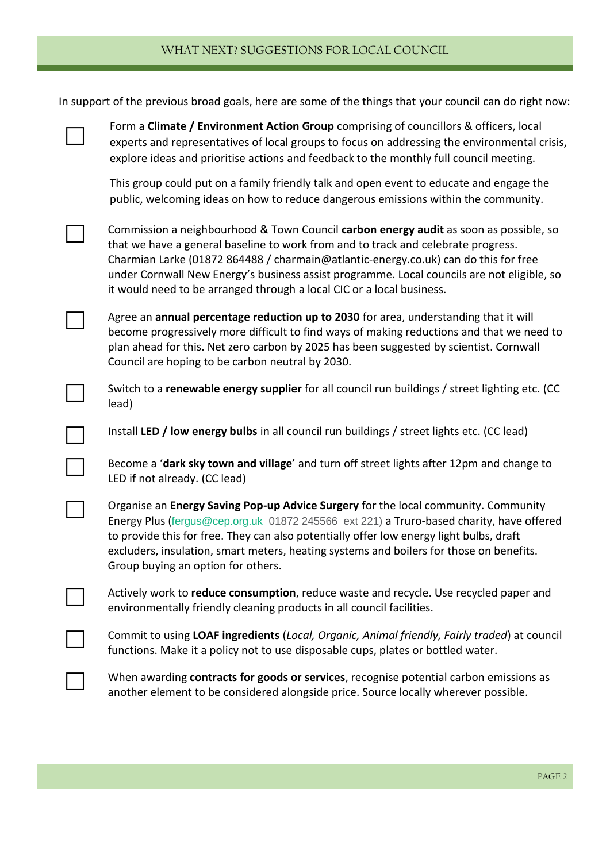In support of the previous broad goals, here are some of the things that your council can do right now:

| Form a Climate / Environment Action Group comprising of councillors & officers, local        |
|----------------------------------------------------------------------------------------------|
| experts and representatives of local groups to focus on addressing the environmental crisis, |
| explore ideas and prioritise actions and feedback to the monthly full council meeting.       |

This group could put on a family friendly talk and open event to educate and engage the public, welcoming ideas on how to reduce dangerous emissions within the community.

 Commission a neighbourhood & Town Council **carbon energy audit** as soon as possible, so that we have a general baseline to work from and to track and celebrate progress. Charmian Larke (01872 864488 / charmain@atlantic-energy.co.uk) can do this for free under Cornwall New Energy's business assist programme. Local councils are not eligible, so it would need to be arranged through a local CIC or a local business.

 Agree an **annual percentage reduction up to 2030** for area, understanding that it will become progressively more difficult to find ways of making reductions and that we need to plan ahead for this. Net zero carbon by 2025 has been suggested by scientist. Cornwall Council are hoping to be carbon neutral by 2030.

 Switch to a **renewable energy supplier** for all council run buildings / street lighting etc. (CC lead)

Install **LED / low energy bulbs** in all council run buildings / street lights etc. (CC lead)

 Become a '**dark sky town and village**' and turn off street lights after 12pm and change to LED if not already. (CC lead)

 Organise an **Energy Saving Pop-up Advice Surgery** for the local community. Community Energy Plus (fergus@cep.org.uk 01872 245566 ext 221) a Truro-based charity, have offered to provide this for free. They can also potentially offer low energy light bulbs, draft excluders, insulation, smart meters, heating systems and boilers for those on benefits. Group buying an option for others.

 Actively work to **reduce consumption**, reduce waste and recycle. Use recycled paper and environmentally friendly cleaning products in all council facilities.

 Commit to using **LOAF ingredients** (*Local, Organic, Animal friendly, Fairly traded*) at council functions. Make it a policy not to use disposable cups, plates or bottled water.

 When awarding **contracts for goods or services**, recognise potential carbon emissions as another element to be considered alongside price. Source locally wherever possible.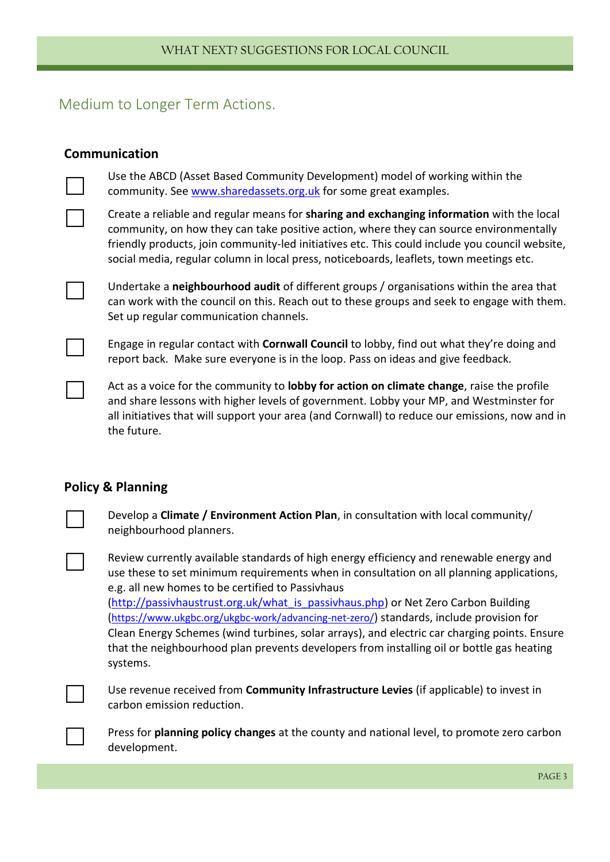# Medium to Longer Term Actions.

#### **Communication**

Use the ABCD (Asset Based Community Development) model of working within the community. See [www.sharedassets.org.uk](http://www.sharedassets.org.uk/) for some great examples.

 Create a reliable and regular means for **sharing and exchanging information** with the local community, on how they can take positive action, where they can source environmentally friendly products, join community-led initiatives etc. This could include you council website, social media, regular column in local press, noticeboards, leaflets, town meetings etc.

 Undertake a **neighbourhood audit** of different groups / organisations within the area that can work with the council on this. Reach out to these groups and seek to engage with them. Set up regular communication channels.

 Engage in regular contact with **Cornwall Council** to lobby, find out what they're doing and report back. Make sure everyone is in the loop. Pass on ideas and give feedback.

 Act as a voice for the community to **lobby for action on climate change**, raise the profile and share lessons with higher levels of government. Lobby your MP, and Westminster for all initiatives that will support your area (and Cornwall) to reduce our emissions, now and in the future.

## **Policy & Planning**



 Develop a **Climate / Environment Action Plan**, in consultation with local community/ neighbourhood planners.

 Review currently available standards of high energy efficiency and renewable energy and use these to set minimum requirements when in consultation on all planning applications, e.g. all new homes to be certified to Passivhaus [\(http://passivhaustrust.org.uk/what\\_is\\_passivhaus.php\)](http://passivhaustrust.org.uk/what_is_passivhaus.php) or Net Zero Carbon Building (<https://www.ukgbc.org/ukgbc-work/advancing-net-zero/>) standards, include provision for Clean Energy Schemes (wind turbines, solar arrays), and electric car charging points. Ensure that the neighbourhood plan prevents developers from installing oil or bottle gas heating systems.



 Use revenue received from **Community Infrastructure Levies** (if applicable) to invest in carbon emission reduction.



 Press for **planning policy changes** at the county and national level, to promote zero carbon development.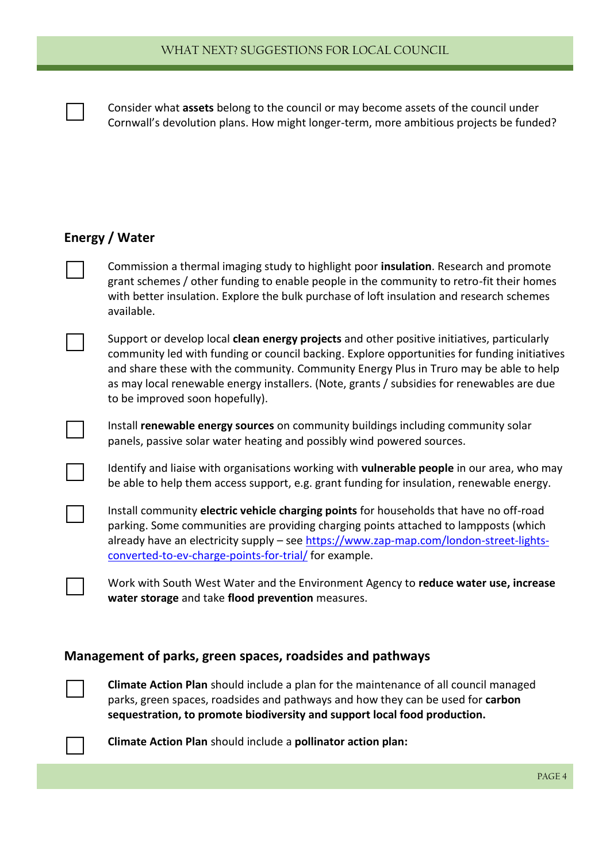Consider what **assets** belong to the council or may become assets of the council under Cornwall's devolution plans. How might longer-term, more ambitious projects be funded?

#### **Energy / Water**

 Commission a thermal imaging study to highlight poor **insulation**. Research and promote grant schemes / other funding to enable people in the community to retro-fit their homes with better insulation. Explore the bulk purchase of loft insulation and research schemes available.

 Support or develop local **clean energy projects** and other positive initiatives, particularly community led with funding or council backing. Explore opportunities for funding initiatives and share these with the community. Community Energy Plus in Truro may be able to help as may local renewable energy installers. (Note, grants / subsidies for renewables are due to be improved soon hopefully).

 Install **renewable energy sources** on community buildings including community solar panels, passive solar water heating and possibly wind powered sources.

 Identify and liaise with organisations working with **vulnerable people** in our area, who may be able to help them access support, e.g. grant funding for insulation, renewable energy.

 Install community **electric vehicle charging points** for households that have no off-road parking. Some communities are providing charging points attached to lampposts (which already have an electricity supply - see [https://www.zap-map.com/london-street-lights](https://www.zap-map.com/london-street-lights-converted-to-ev-charge-points-for-trial/)[converted-to-ev-charge-points-for-trial/](https://www.zap-map.com/london-street-lights-converted-to-ev-charge-points-for-trial/) for example.

 Work with South West Water and the Environment Agency to **reduce water use, increase water storage** and take **flood prevention** measures.

#### **Management of parks, green spaces, roadsides and pathways**

 **Climate Action Plan** should include a plan for the maintenance of all council managed parks, green spaces, roadsides and pathways and how they can be used for **carbon sequestration, to promote biodiversity and support local food production.**

**Climate Action Plan** should include a **pollinator action plan:**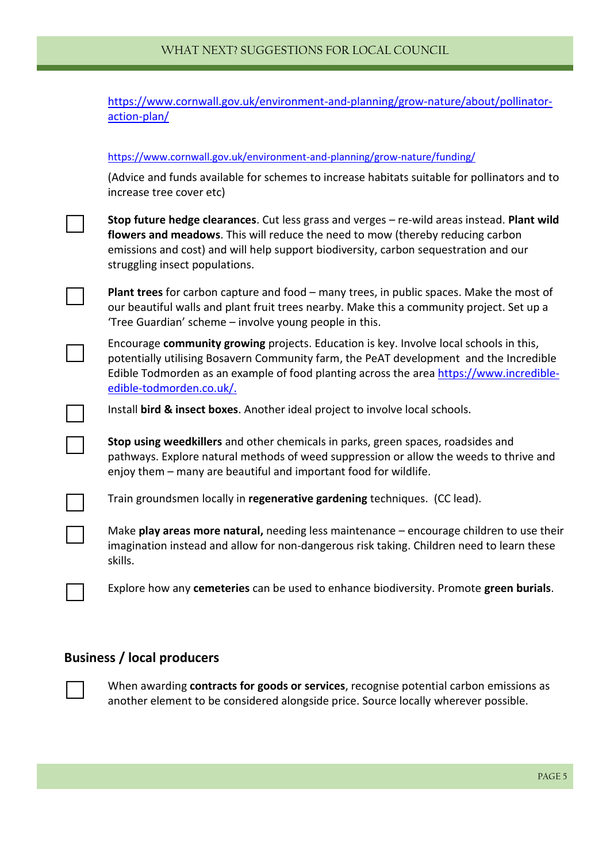[https://www.cornwall.gov.uk/environment-and-planning/grow-nature/about/pollinator](https://www.cornwall.gov.uk/environment-and-planning/grow-nature/about/pollinator-action-plan/)[action-plan/](https://www.cornwall.gov.uk/environment-and-planning/grow-nature/about/pollinator-action-plan/)

#### <https://www.cornwall.gov.uk/environment-and-planning/grow-nature/funding/>

(Advice and funds available for schemes to increase habitats suitable for pollinators and to increase tree cover etc)

 **Stop future hedge clearances**. Cut less grass and verges – re-wild areas instead. **Plant wild flowers and meadows**. This will reduce the need to mow (thereby reducing carbon emissions and cost) and will help support biodiversity, carbon sequestration and our struggling insect populations.

 **Plant trees** for carbon capture and food – many trees, in public spaces. Make the most of our beautiful walls and plant fruit trees nearby. Make this a community project. Set up a 'Tree Guardian' scheme – involve young people in this.

Encourage **community growing** projects. Education is key. Involve local schools in this, potentially utilising Bosavern Community farm, the PeAT development and the Incredible Edible Todmorden as an example of food planting across the area [https://www.incredible](https://www.incredible-edible-todmorden.co.uk/)[edible-todmorden.co.uk/.](https://www.incredible-edible-todmorden.co.uk/)

Install **bird & insect boxes**. Another ideal project to involve local schools.

 **Stop using weedkillers** and other chemicals in parks, green spaces, roadsides and pathways. Explore natural methods of weed suppression or allow the weeds to thrive and enjoy them – many are beautiful and important food for wildlife.

Train groundsmen locally in **regenerative gardening** techniques. (CC lead).

 Make **play areas more natural,** needing less maintenance – encourage children to use their imagination instead and allow for non-dangerous risk taking. Children need to learn these skills.

Explore how any **cemeteries** can be used to enhance biodiversity. Promote **green burials**.

#### **Business / local producers**



 When awarding **contracts for goods or services**, recognise potential carbon emissions as another element to be considered alongside price. Source locally wherever possible.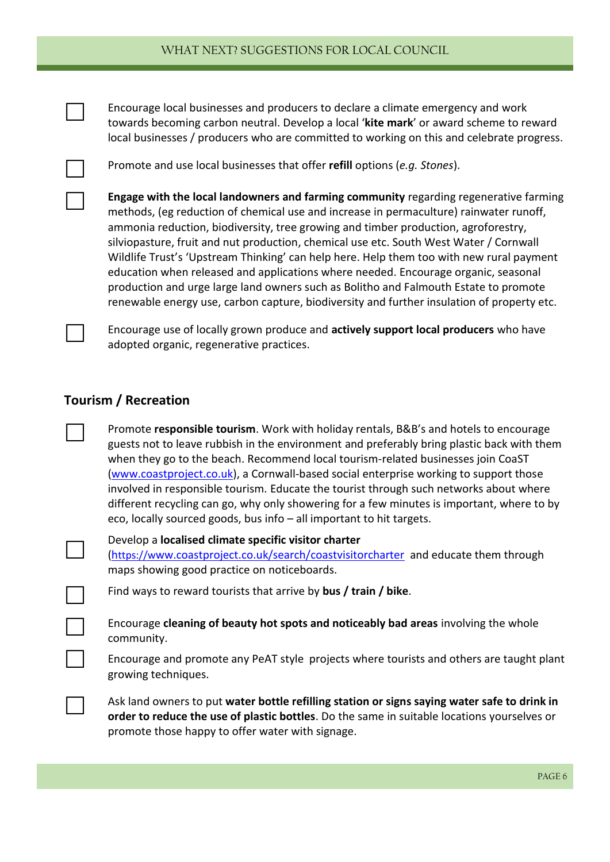Encourage local businesses and producers to declare a climate emergency and work towards becoming carbon neutral. Develop a local '**kite mark**' or award scheme to reward local businesses / producers who are committed to working on this and celebrate progress.

Promote and use local businesses that offer **refill** options (*e.g. Stones*).

 **Engage with the local landowners and farming community** regarding regenerative farming methods, (eg reduction of chemical use and increase in permaculture) rainwater runoff, ammonia reduction, biodiversity, tree growing and timber production, agroforestry, silviopasture, fruit and nut production, chemical use etc. South West Water / Cornwall Wildlife Trust's 'Upstream Thinking' can help here. Help them too with new rural payment education when released and applications where needed. Encourage organic, seasonal production and urge large land owners such as Bolitho and Falmouth Estate to promote renewable energy use, carbon capture, biodiversity and further insulation of property etc.

 Encourage use of locally grown produce and **actively support local producers** who have adopted organic, regenerative practices.

## **Tourism / Recreation**

 Promote **responsible tourism**. Work with holiday rentals, B&B's and hotels to encourage guests not to leave rubbish in the environment and preferably bring plastic back with them when they go to the beach. Recommend local tourism-related businesses join CoaST [\(www.coastproject.co.uk\)](http://www.coastproject.co.uk/), a Cornwall-based social enterprise working to support those involved in responsible tourism. Educate the tourist through such networks about where different recycling can go, why only showering for a few minutes is important, where to by eco, locally sourced goods, bus info – all important to hit targets.

Develop a **localised climate specific visitor charter** (https://w[ww.coastproject.co.uk/search/coastvisitorcharter](https://www.coastproject.co.uk/search/coastvisitorcharter) and educate them through maps showing good practice on noticeboards.

Find ways to reward tourists that arrive by **bus / train / bike**.

Encourage **cleaning of beauty hot spots and noticeably bad areas** involving the whole community.

Encourage and promote any PeAT style projects where tourists and others are taught plant growing techniques.

 Ask land owners to put **water bottle refilling station or signs saying water safe to drink in order to reduce the use of plastic bottles**. Do the same in suitable locations yourselves or promote those happy to offer water with signage.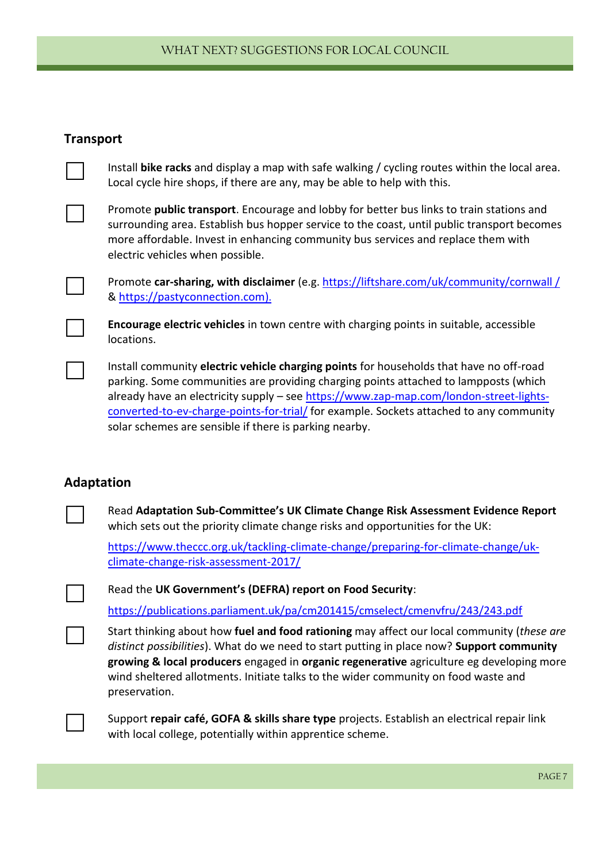## **Transport**

 Install **bike racks** and display a map with safe walking / cycling routes within the local area. Local cycle hire shops, if there are any, may be able to help with this.

 Promote **public transport**. Encourage and lobby for better bus links to train stations and surrounding area. Establish bus hopper service to the coast, until public transport becomes more affordable. Invest in enhancing community bus services and replace them with electric vehicles when possible.

 Promote **car-sharing, with disclaimer** (e.g[. https://liftshare.com/uk/community/cornwall /](https://liftshare.com/uk/community/cornwall%20/) & [https://pastyconnection.com\)](https://pastyconnection.com/).

 **Encourage electric vehicles** in town centre with charging points in suitable, accessible locations.

 Install community **electric vehicle charging points** for households that have no off-road parking. Some communities are providing charging points attached to lampposts (which already have an electricity supply - see [https://www.zap-map.com/london-street-lights](https://www.zap-map.com/london-street-lights-converted-to-ev-charge-points-for-trial/)[converted-to-ev-charge-points-for-trial/](https://www.zap-map.com/london-street-lights-converted-to-ev-charge-points-for-trial/) for example. Sockets attached to any community solar schemes are sensible if there is parking nearby.

# **Adaptation**

 Read **Adaptation Sub-Committee's UK Climate Change Risk Assessment Evidence Report** which sets out the priority climate change risks and opportunities for the UK:

[https://www.theccc.org.uk/tackling-climate-change/preparing-for-climate-change/uk](https://www.theccc.org.uk/tackling-climate-change/preparing-for-climate-change/uk-climate-change-risk-assessment-2017/)[climate-change-risk-assessment-2017/](https://www.theccc.org.uk/tackling-climate-change/preparing-for-climate-change/uk-climate-change-risk-assessment-2017/)

Read the **UK Government's (DEFRA) report on Food Security**:

<https://publications.parliament.uk/pa/cm201415/cmselect/cmenvfru/243/243.pdf>

 Start thinking about how **fuel and food rationing** may affect our local community (*these are distinct possibilities*). What do we need to start putting in place now? **Support community growing & local producers** engaged in **organic regenerative** agriculture eg developing more wind sheltered allotments. Initiate talks to the wider community on food waste and preservation.

 Support **repair café, GOFA & skills share type** projects. Establish an electrical repair link with local college, potentially within apprentice scheme.